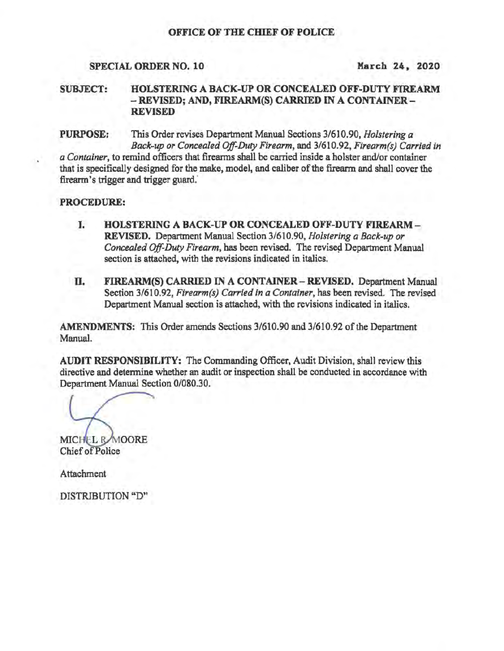# OFFICE OF THE CHIEF OF POLICE

# SPECIAL ORDER NO. 10 March 24, 2020

### SUBJECT: HOLSTERING A BACK-UP OR CONCEALED OFF·DUTY FIREARM - REVISED; AND, FIREARM(S) CARRIED IN A CONTAINER-REVISED

PURPOSE: This Order revises Department Manual Sections 3/610.90, *Holstering a Back-up or Concealed Off-Duty Firearm,* and 3/610.92, *Firearm(s) Carried in a Container,* to remind officers that firearms shall be carried inside a holster and/or container that is specifically designed for the make, model, and caliber of the firearm and shall cover the firearm's trigger and trigger guard.'

## PROCEDURE:

- I. BOLSTERING A BACK-UP OR CONCEALED OFF-DUTY FIREARM-REVISED. Department Manual Section 3/610.90, *Hoistering a Back-up or Concealed Off-Duty Firearm,* has been revised. The revised Department Manual section is attached, with the revisions indicated in italics.
- TI. FIREARM(S) CARRIED IN A CONTAINER REVISED. Department Manual Section 3/610.92, *Firearm(s) Carried in a Container,* has been revised. The revised Department Manual section is attached, with the revisions indicated in italics.

AMENDMENTS: This Order amends Sections 3/610.90 and 3/610.92 of the Department Manual.

AUDIT RESPONSIBILITY: The Commanding Officer, Audit Division, shall review this directive and detennine whether an audit or inspection shall be conducted in accordance with Department Manual Section 0/080.30.

MICHEL R MOORE Chief of Police

**Attachment** 

DISTRIBUTION "D"